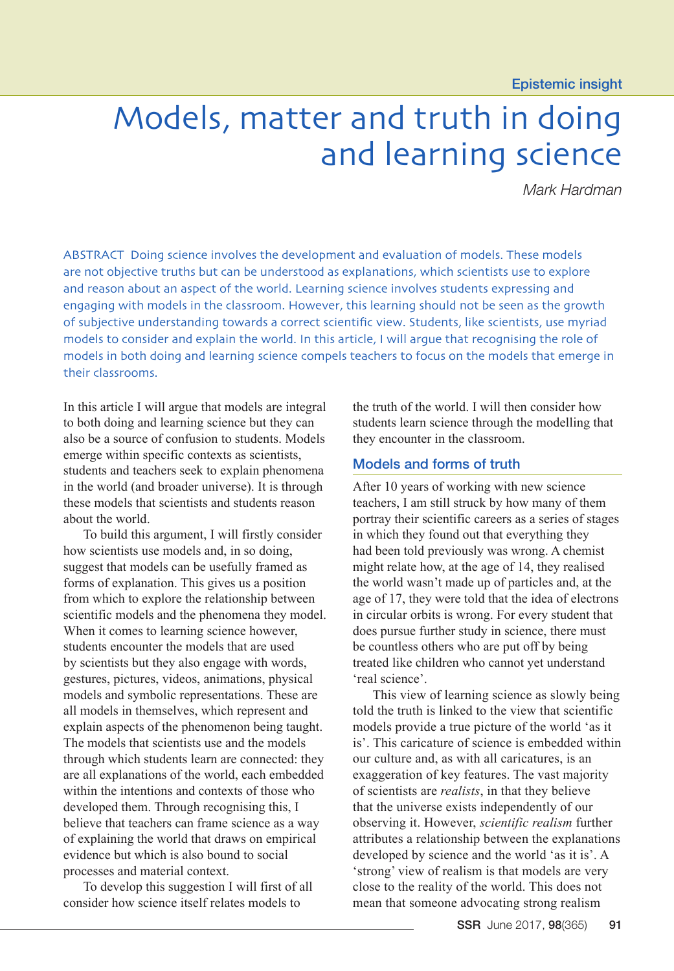Epistemic insight

# Models, matter and truth in doing and learning science

*Mark Hardman*

ABSTRACT Doing science involves the development and evaluation of models. These models are not objective truths but can be understood as explanations, which scientists use to explore and reason about an aspect of the world. Learning science involves students expressing and engaging with models in the classroom. However, this learning should not be seen as the growth of subjective understanding towards a correct scientific view. Students, like scientists, use myriad models to consider and explain the world. In this article, I will argue that recognising the role of models in both doing and learning science compels teachers to focus on the models that emerge in their classrooms.

In this article I will argue that models are integral to both doing and learning science but they can also be a source of confusion to students. Models emerge within specific contexts as scientists, students and teachers seek to explain phenomena in the world (and broader universe). It is through these models that scientists and students reason about the world.

To build this argument, I will firstly consider how scientists use models and, in so doing, suggest that models can be usefully framed as forms of explanation. This gives us a position from which to explore the relationship between scientific models and the phenomena they model. When it comes to learning science however, students encounter the models that are used by scientists but they also engage with words, gestures, pictures, videos, animations, physical models and symbolic representations. These are all models in themselves, which represent and explain aspects of the phenomenon being taught. The models that scientists use and the models through which students learn are connected: they are all explanations of the world, each embedded within the intentions and contexts of those who developed them. Through recognising this, I believe that teachers can frame science as a way of explaining the world that draws on empirical evidence but which is also bound to social processes and material context.

To develop this suggestion I will first of all consider how science itself relates models to

the truth of the world. I will then consider how students learn science through the modelling that they encounter in the classroom.

#### Models and forms of truth

After 10 years of working with new science teachers, I am still struck by how many of them portray their scientific careers as a series of stages in which they found out that everything they had been told previously was wrong. A chemist might relate how, at the age of 14, they realised the world wasn't made up of particles and, at the age of 17, they were told that the idea of electrons in circular orbits is wrong. For every student that does pursue further study in science, there must be countless others who are put off by being treated like children who cannot yet understand 'real science'.

This view of learning science as slowly being told the truth is linked to the view that scientific models provide a true picture of the world 'as it is'. This caricature of science is embedded within our culture and, as with all caricatures, is an exaggeration of key features. The vast majority of scientists are *realists*, in that they believe that the universe exists independently of our observing it. However, *scientific realism* further attributes a relationship between the explanations developed by science and the world 'as it is'. A 'strong' view of realism is that models are very close to the reality of the world. This does not mean that someone advocating strong realism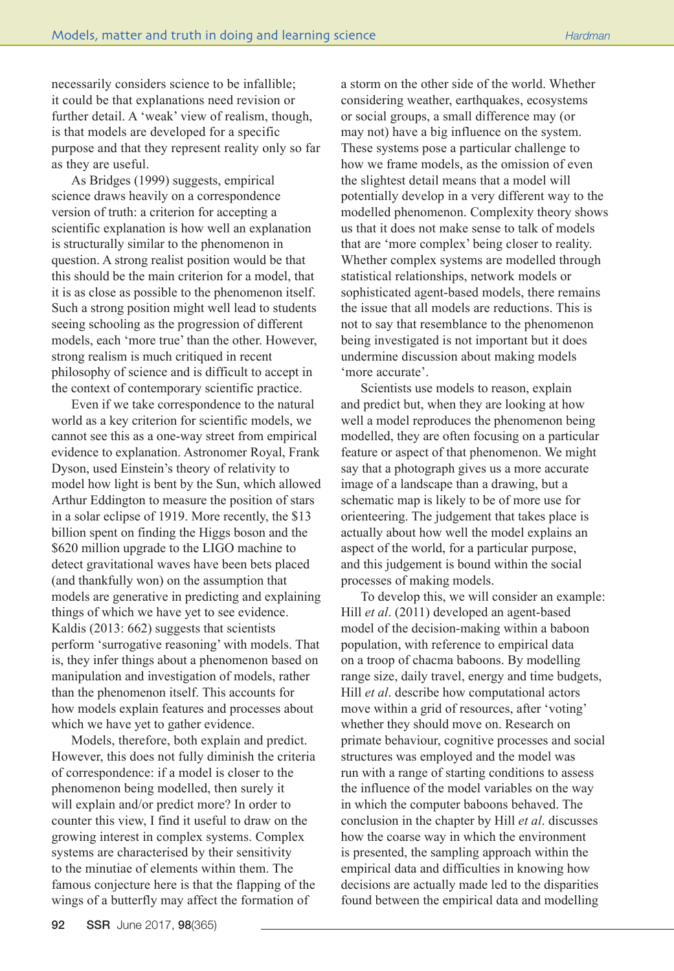necessarily considers science to be infallible; it could be that explanations need revision or further detail. A 'weak' view of realism, though, is that models are developed for a specific purpose and that they represent reality only so far as they are useful.

As Bridges (1999) suggests, empirical science draws heavily on a correspondence version of truth: a criterion for accepting a scientific explanation is how well an explanation is structurally similar to the phenomenon in question. A strong realist position would be that this should be the main criterion for a model, that it is as close as possible to the phenomenon itself. Such a strong position might well lead to students seeing schooling as the progression of different models, each 'more true' than the other. However, strong realism is much critiqued in recent philosophy of science and is difficult to accept in the context of contemporary scientific practice.

Even if we take correspondence to the natural world as a key criterion for scientific models, we cannot see this as a one-way street from empirical evidence to explanation. Astronomer Royal, Frank Dyson, used Einstein's theory of relativity to model how light is bent by the Sun, which allowed Arthur Eddington to measure the position of stars in a solar eclipse of 1919. More recently, the \$13 billion spent on finding the Higgs boson and the \$620 million upgrade to the LIGO machine to detect gravitational waves have been bets placed (and thankfully won) on the assumption that models are generative in predicting and explaining things of which we have yet to see evidence. Kaldis (2013: 662) suggests that scientists perform 'surrogative reasoning' with models. That is, they infer things about a phenomenon based on manipulation and investigation of models, rather than the phenomenon itself. This accounts for how models explain features and processes about which we have yet to gather evidence.

Models, therefore, both explain and predict. However, this does not fully diminish the criteria of correspondence: if a model is closer to the phenomenon being modelled, then surely it will explain and/or predict more? In order to counter this view, I find it useful to draw on the growing interest in complex systems. Complex systems are characterised by their sensitivity to the minutiae of elements within them. The famous conjecture here is that the flapping of the wings of a butterfly may affect the formation of

a storm on the other side of the world. Whether considering weather, earthquakes, ecosystems or social groups, a small difference may (or may not) have a big influence on the system. These systems pose a particular challenge to how we frame models, as the omission of even the slightest detail means that a model will potentially develop in a very different way to the modelled phenomenon. Complexity theory shows us that it does not make sense to talk of models that are 'more complex' being closer to reality. Whether complex systems are modelled through statistical relationships, network models or sophisticated agent-based models, there remains the issue that all models are reductions. This is not to say that resemblance to the phenomenon being investigated is not important but it does undermine discussion about making models 'more accurate'.

Scientists use models to reason, explain and predict but, when they are looking at how well a model reproduces the phenomenon being modelled, they are often focusing on a particular feature or aspect of that phenomenon. We might say that a photograph gives us a more accurate image of a landscape than a drawing, but a schematic map is likely to be of more use for orienteering. The judgement that takes place is actually about how well the model explains an aspect of the world, for a particular purpose, and this judgement is bound within the social processes of making models.

To develop this, we will consider an example: Hill *et al*. (2011) developed an agent-based model of the decision-making within a baboon population, with reference to empirical data on a troop of chacma baboons. By modelling range size, daily travel, energy and time budgets, Hill *et al*. describe how computational actors move within a grid of resources, after 'voting' whether they should move on. Research on primate behaviour, cognitive processes and social structures was employed and the model was run with a range of starting conditions to assess the influence of the model variables on the way in which the computer baboons behaved. The conclusion in the chapter by Hill *et al*. discusses how the coarse way in which the environment is presented, the sampling approach within the empirical data and difficulties in knowing how decisions are actually made led to the disparities found between the empirical data and modelling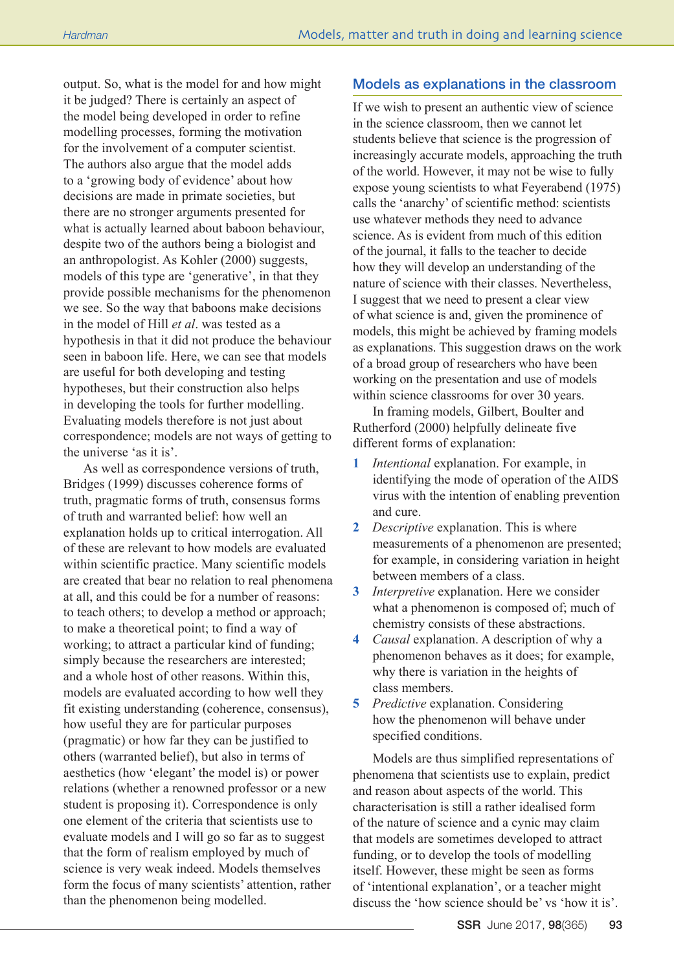output. So, what is the model for and how might it be judged? There is certainly an aspect of the model being developed in order to refine modelling processes, forming the motivation for the involvement of a computer scientist. The authors also argue that the model adds to a 'growing body of evidence' about how decisions are made in primate societies, but there are no stronger arguments presented for what is actually learned about baboon behaviour, despite two of the authors being a biologist and an anthropologist. As Kohler (2000) suggests, models of this type are 'generative', in that they provide possible mechanisms for the phenomenon we see. So the way that baboons make decisions in the model of Hill *et al*. was tested as a hypothesis in that it did not produce the behaviour seen in baboon life. Here, we can see that models are useful for both developing and testing hypotheses, but their construction also helps in developing the tools for further modelling. Evaluating models therefore is not just about correspondence; models are not ways of getting to the universe 'as it is'.

As well as correspondence versions of truth, Bridges (1999) discusses coherence forms of truth, pragmatic forms of truth, consensus forms of truth and warranted belief: how well an explanation holds up to critical interrogation. All of these are relevant to how models are evaluated within scientific practice. Many scientific models are created that bear no relation to real phenomena at all, and this could be for a number of reasons: to teach others; to develop a method or approach; to make a theoretical point; to find a way of working; to attract a particular kind of funding; simply because the researchers are interested; and a whole host of other reasons. Within this, models are evaluated according to how well they fit existing understanding (coherence, consensus), how useful they are for particular purposes (pragmatic) or how far they can be justified to others (warranted belief), but also in terms of aesthetics (how 'elegant' the model is) or power relations (whether a renowned professor or a new student is proposing it). Correspondence is only one element of the criteria that scientists use to evaluate models and I will go so far as to suggest that the form of realism employed by much of science is very weak indeed. Models themselves form the focus of many scientists' attention, rather than the phenomenon being modelled.

### Models as explanations in the classroom

If we wish to present an authentic view of science in the science classroom, then we cannot let students believe that science is the progression of increasingly accurate models, approaching the truth of the world. However, it may not be wise to fully expose young scientists to what Feyerabend (1975) calls the 'anarchy' of scientific method: scientists use whatever methods they need to advance science. As is evident from much of this edition of the journal, it falls to the teacher to decide how they will develop an understanding of the nature of science with their classes. Nevertheless, I suggest that we need to present a clear view of what science is and, given the prominence of models, this might be achieved by framing models as explanations. This suggestion draws on the work of a broad group of researchers who have been working on the presentation and use of models within science classrooms for over 30 years.

In framing models, Gilbert, Boulter and Rutherford (2000) helpfully delineate five different forms of explanation:

- **1** *Intentional* explanation. For example, in identifying the mode of operation of the AIDS virus with the intention of enabling prevention and cure.
- **2** *Descriptive* explanation. This is where measurements of a phenomenon are presented; for example, in considering variation in height between members of a class.
- **3** *Interpretive* explanation. Here we consider what a phenomenon is composed of; much of chemistry consists of these abstractions.
- **4** *Causal* explanation. A description of why a phenomenon behaves as it does; for example, why there is variation in the heights of class members.
- **5** *Predictive* explanation. Considering how the phenomenon will behave under specified conditions.

Models are thus simplified representations of phenomena that scientists use to explain, predict and reason about aspects of the world. This characterisation is still a rather idealised form of the nature of science and a cynic may claim that models are sometimes developed to attract funding, or to develop the tools of modelling itself. However, these might be seen as forms of 'intentional explanation', or a teacher might discuss the 'how science should be' vs 'how it is'.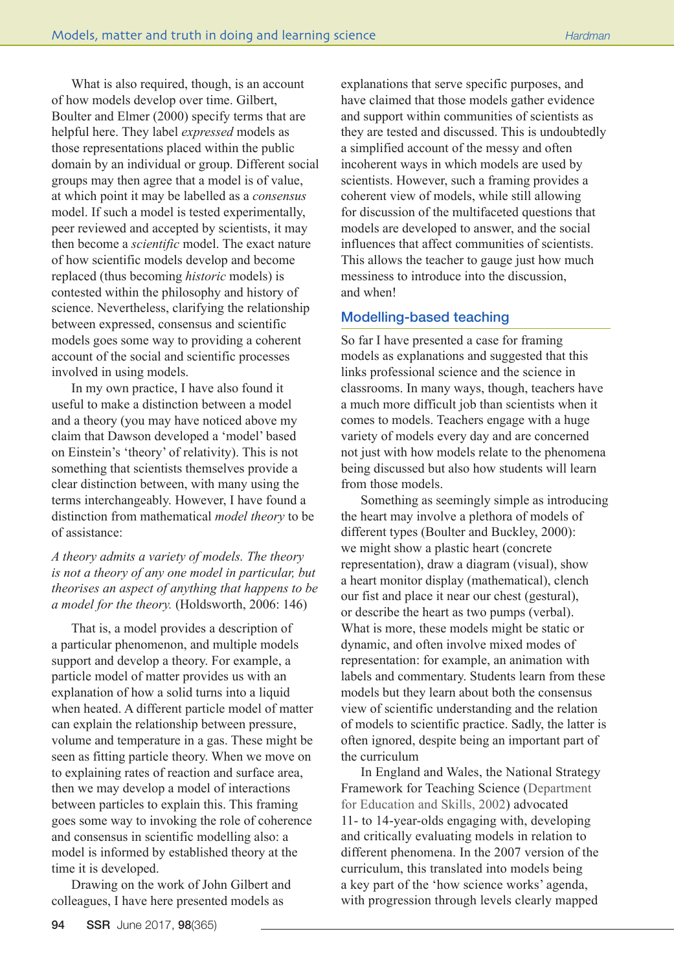What is also required, though, is an account of how models develop over time. Gilbert, Boulter and Elmer (2000) specify terms that are helpful here. They label *expressed* models as those representations placed within the public domain by an individual or group. Different social groups may then agree that a model is of value, at which point it may be labelled as a *consensus* model. If such a model is tested experimentally, peer reviewed and accepted by scientists, it may then become a *scientific* model. The exact nature of how scientific models develop and become replaced (thus becoming *historic* models) is contested within the philosophy and history of science. Nevertheless, clarifying the relationship between expressed, consensus and scientific models goes some way to providing a coherent account of the social and scientific processes involved in using models.

In my own practice, I have also found it useful to make a distinction between a model and a theory (you may have noticed above my claim that Dawson developed a 'model' based on Einstein's 'theory' of relativity). This is not something that scientists themselves provide a clear distinction between, with many using the terms interchangeably. However, I have found a distinction from mathematical *model theory* to be of assistance:

*A theory admits a variety of models. The theory is not a theory of any one model in particular, but theorises an aspect of anything that happens to be a model for the theory.* (Holdsworth, 2006: 146)

That is, a model provides a description of a particular phenomenon, and multiple models support and develop a theory. For example, a particle model of matter provides us with an explanation of how a solid turns into a liquid when heated. A different particle model of matter can explain the relationship between pressure, volume and temperature in a gas. These might be seen as fitting particle theory. When we move on to explaining rates of reaction and surface area, then we may develop a model of interactions between particles to explain this. This framing goes some way to invoking the role of coherence and consensus in scientific modelling also: a model is informed by established theory at the time it is developed.

Drawing on the work of John Gilbert and colleagues, I have here presented models as

explanations that serve specific purposes, and have claimed that those models gather evidence and support within communities of scientists as they are tested and discussed. This is undoubtedly a simplified account of the messy and often incoherent ways in which models are used by scientists. However, such a framing provides a coherent view of models, while still allowing for discussion of the multifaceted questions that models are developed to answer, and the social influences that affect communities of scientists. This allows the teacher to gauge just how much messiness to introduce into the discussion, and when!

# Modelling-based teaching

So far I have presented a case for framing models as explanations and suggested that this links professional science and the science in classrooms. In many ways, though, teachers have a much more difficult job than scientists when it comes to models. Teachers engage with a huge variety of models every day and are concerned not just with how models relate to the phenomena being discussed but also how students will learn from those models.

Something as seemingly simple as introducing the heart may involve a plethora of models of different types (Boulter and Buckley, 2000): we might show a plastic heart (concrete representation), draw a diagram (visual), show a heart monitor display (mathematical), clench our fist and place it near our chest (gestural), or describe the heart as two pumps (verbal). What is more, these models might be static or dynamic, and often involve mixed modes of representation: for example, an animation with labels and commentary. Students learn from these models but they learn about both the consensus view of scientific understanding and the relation of models to scientific practice. Sadly, the latter is often ignored, despite being an important part of the curriculum

In England and Wales, the National Strategy Framework for Teaching Science [\(Department](http://dera.ioe.ac.uk/5308/)  [for Education and Skills, 2002\)](http://dera.ioe.ac.uk/5308/) advocated 11- to 14-year-olds engaging with, developing and critically evaluating models in relation to different phenomena. In the 2007 version of the curriculum, this translated into models being a key part of the 'how science works' agenda, with progression through levels clearly mapped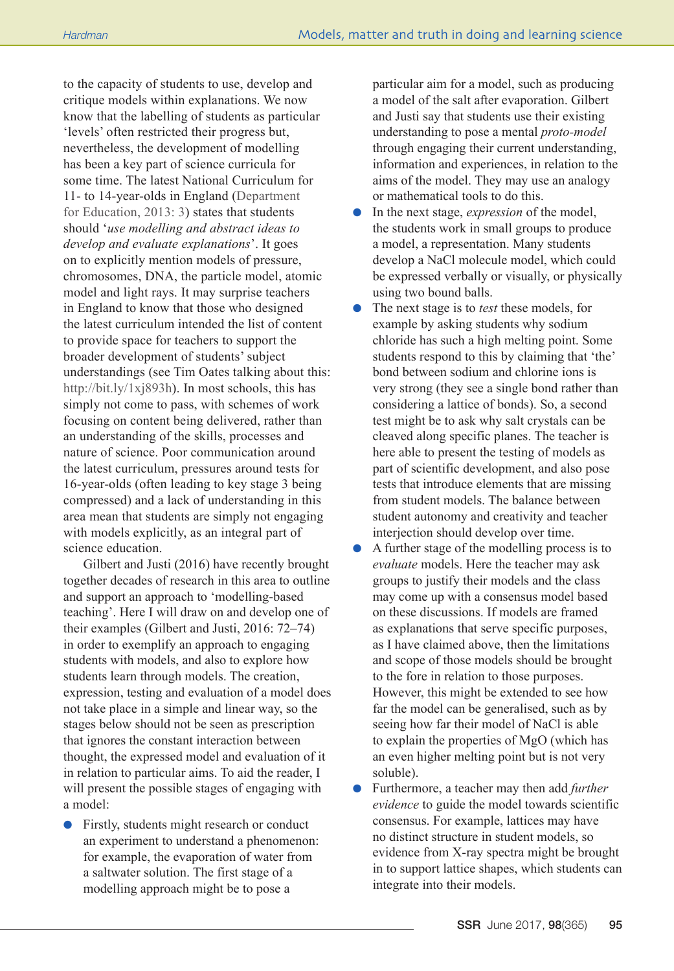to the capacity of students to use, develop and critique models within explanations. We now know that the labelling of students as particular 'levels' often restricted their progress but, nevertheless, the development of modelling has been a key part of science curricula for some time. The latest National Curriculum for 11- to 14-year-olds in England ([Department](http://www.gov.uk/government/publications/national-curriculum-in-england-science-programmes-of-study)  [for Education, 2013:](http://www.gov.uk/government/publications/national-curriculum-in-england-science-programmes-of-study) 3) states that students should '*use modelling and abstract ideas to develop and evaluate explanations*'. It goes on to explicitly mention models of pressure, chromosomes, DNA, the particle model, atomic model and light rays. It may surprise teachers in England to know that those who designed the latest curriculum intended the list of content to provide space for teachers to support the broader development of students' subject understandings (see Tim Oates talking about this: http://bit.ly/1xj893h). In most schools, this has simply not come to pass, with schemes of work focusing on content being delivered, rather than an understanding of the skills, processes and nature of science. Poor communication around the latest curriculum, pressures around tests for 16-year-olds (often leading to key stage 3 being compressed) and a lack of understanding in this area mean that students are simply not engaging with models explicitly, as an integral part of science education.

Gilbert and Justi (2016) have recently brought together decades of research in this area to outline and support an approach to 'modelling-based teaching'. Here I will draw on and develop one of their examples (Gilbert and Justi, 2016: 72–74) in order to exemplify an approach to engaging students with models, and also to explore how students learn through models. The creation, expression, testing and evaluation of a model does not take place in a simple and linear way, so the stages below should not be seen as prescription that ignores the constant interaction between thought, the expressed model and evaluation of it in relation to particular aims. To aid the reader, I will present the possible stages of engaging with a model:

Firstly, students might research or conduct an experiment to understand a phenomenon: for example, the evaporation of water from a saltwater solution. The first stage of a modelling approach might be to pose a

particular aim for a model, such as producing a model of the salt after evaporation. Gilbert and Justi say that students use their existing understanding to pose a mental *proto-model* through engaging their current understanding, information and experiences, in relation to the aims of the model. They may use an analogy or mathematical tools to do this.

- **In the next stage,** *expression* of the model, the students work in small groups to produce a model, a representation. Many students develop a NaCl molecule model, which could be expressed verbally or visually, or physically using two bound balls.
- l The next stage is to *test* these models, for example by asking students why sodium chloride has such a high melting point. Some students respond to this by claiming that 'the' bond between sodium and chlorine ions is very strong (they see a single bond rather than considering a lattice of bonds). So, a second test might be to ask why salt crystals can be cleaved along specific planes. The teacher is here able to present the testing of models as part of scientific development, and also pose tests that introduce elements that are missing from student models. The balance between student autonomy and creativity and teacher interjection should develop over time.
- $\bullet$  A further stage of the modelling process is to *evaluate* models. Here the teacher may ask groups to justify their models and the class may come up with a consensus model based on these discussions. If models are framed as explanations that serve specific purposes, as I have claimed above, then the limitations and scope of those models should be brought to the fore in relation to those purposes. However, this might be extended to see how far the model can be generalised, such as by seeing how far their model of NaCl is able to explain the properties of MgO (which has an even higher melting point but is not very soluble).
- Furthermore, a teacher may then add *further evidence* to guide the model towards scientific consensus. For example, lattices may have no distinct structure in student models, so evidence from X-ray spectra might be brought in to support lattice shapes, which students can integrate into their models.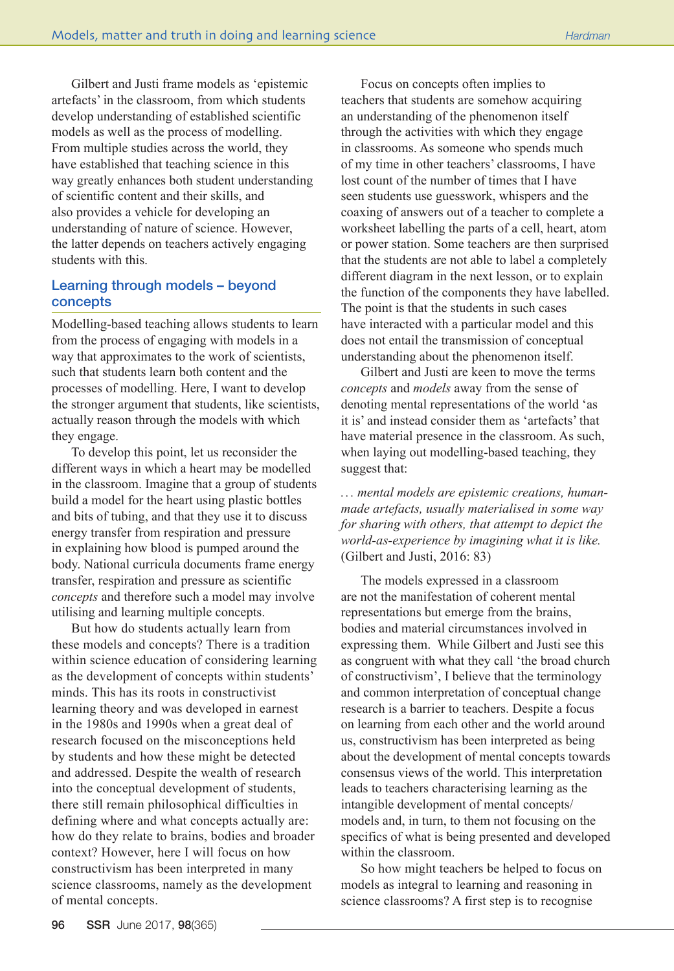Gilbert and Justi frame models as 'epistemic artefacts' in the classroom, from which students develop understanding of established scientific models as well as the process of modelling. From multiple studies across the world, they have established that teaching science in this way greatly enhances both student understanding of scientific content and their skills, and also provides a vehicle for developing an understanding of nature of science. However, the latter depends on teachers actively engaging students with this.

# Learning through models – beyond concepts

Modelling-based teaching allows students to learn from the process of engaging with models in a way that approximates to the work of scientists, such that students learn both content and the processes of modelling. Here, I want to develop the stronger argument that students, like scientists, actually reason through the models with which they engage.

To develop this point, let us reconsider the different ways in which a heart may be modelled in the classroom. Imagine that a group of students build a model for the heart using plastic bottles and bits of tubing, and that they use it to discuss energy transfer from respiration and pressure in explaining how blood is pumped around the body. National curricula documents frame energy transfer, respiration and pressure as scientific *concepts* and therefore such a model may involve utilising and learning multiple concepts.

But how do students actually learn from these models and concepts? There is a tradition within science education of considering learning as the development of concepts within students' minds. This has its roots in constructivist learning theory and was developed in earnest in the 1980s and 1990s when a great deal of research focused on the misconceptions held by students and how these might be detected and addressed. Despite the wealth of research into the conceptual development of students, there still remain philosophical difficulties in defining where and what concepts actually are: how do they relate to brains, bodies and broader context? However, here I will focus on how constructivism has been interpreted in many science classrooms, namely as the development of mental concepts.

Focus on concepts often implies to teachers that students are somehow acquiring an understanding of the phenomenon itself through the activities with which they engage in classrooms. As someone who spends much of my time in other teachers' classrooms, I have lost count of the number of times that I have seen students use guesswork, whispers and the coaxing of answers out of a teacher to complete a worksheet labelling the parts of a cell, heart, atom or power station. Some teachers are then surprised that the students are not able to label a completely different diagram in the next lesson, or to explain the function of the components they have labelled. The point is that the students in such cases have interacted with a particular model and this does not entail the transmission of conceptual understanding about the phenomenon itself.

Gilbert and Justi are keen to move the terms *concepts* and *models* away from the sense of denoting mental representations of the world 'as it is' and instead consider them as 'artefacts' that have material presence in the classroom. As such, when laying out modelling-based teaching, they suggest that:

*... mental models are epistemic creations, humanmade artefacts, usually materialised in some way for sharing with others, that attempt to depict the world-as-experience by imagining what it is like.*  (Gilbert and Justi, 2016: 83)

The models expressed in a classroom are not the manifestation of coherent mental representations but emerge from the brains, bodies and material circumstances involved in expressing them. While Gilbert and Justi see this as congruent with what they call 'the broad church of constructivism', I believe that the terminology and common interpretation of conceptual change research is a barrier to teachers. Despite a focus on learning from each other and the world around us, constructivism has been interpreted as being about the development of mental concepts towards consensus views of the world. This interpretation leads to teachers characterising learning as the intangible development of mental concepts/ models and, in turn, to them not focusing on the specifics of what is being presented and developed within the classroom.

So how might teachers be helped to focus on models as integral to learning and reasoning in science classrooms? A first step is to recognise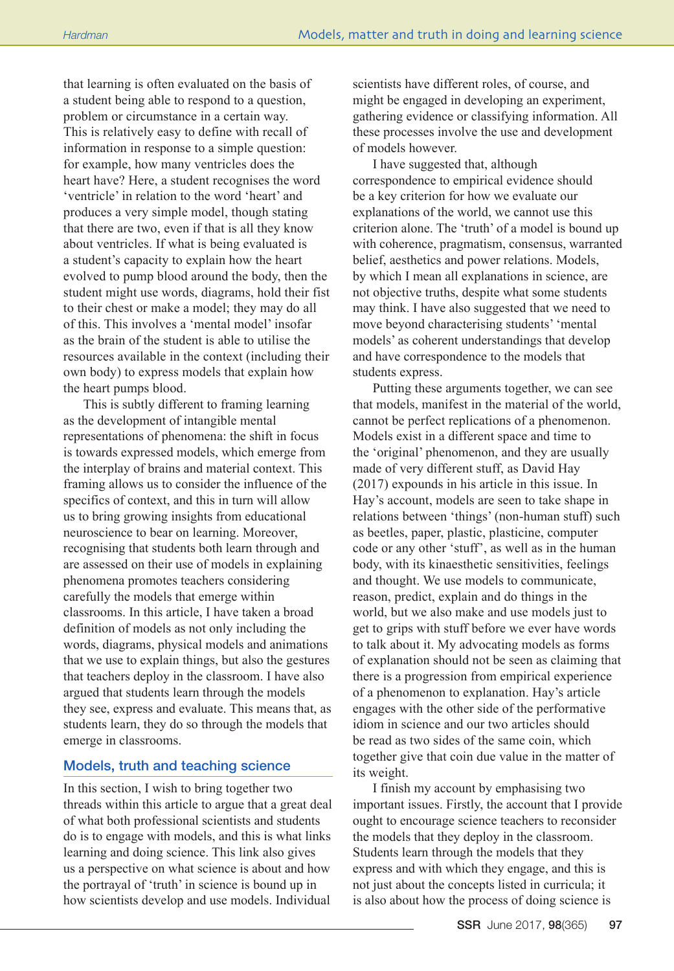that learning is often evaluated on the basis of a student being able to respond to a question, problem or circumstance in a certain way. This is relatively easy to define with recall of information in response to a simple question: for example, how many ventricles does the heart have? Here, a student recognises the word 'ventricle' in relation to the word 'heart' and produces a very simple model, though stating that there are two, even if that is all they know about ventricles. If what is being evaluated is a student's capacity to explain how the heart evolved to pump blood around the body, then the student might use words, diagrams, hold their fist to their chest or make a model; they may do all of this. This involves a 'mental model' insofar as the brain of the student is able to utilise the resources available in the context (including their own body) to express models that explain how the heart pumps blood.

This is subtly different to framing learning as the development of intangible mental representations of phenomena: the shift in focus is towards expressed models, which emerge from the interplay of brains and material context. This framing allows us to consider the influence of the specifics of context, and this in turn will allow us to bring growing insights from educational neuroscience to bear on learning. Moreover, recognising that students both learn through and are assessed on their use of models in explaining phenomena promotes teachers considering carefully the models that emerge within classrooms. In this article, I have taken a broad definition of models as not only including the words, diagrams, physical models and animations that we use to explain things, but also the gestures that teachers deploy in the classroom. I have also argued that students learn through the models they see, express and evaluate. This means that, as students learn, they do so through the models that emerge in classrooms.

## Models, truth and teaching science

In this section, I wish to bring together two threads within this article to argue that a great deal of what both professional scientists and students do is to engage with models, and this is what links learning and doing science. This link also gives us a perspective on what science is about and how the portrayal of 'truth' in science is bound up in how scientists develop and use models. Individual

scientists have different roles, of course, and might be engaged in developing an experiment, gathering evidence or classifying information. All these processes involve the use and development of models however.

I have suggested that, although correspondence to empirical evidence should be a key criterion for how we evaluate our explanations of the world, we cannot use this criterion alone. The 'truth' of a model is bound up with coherence, pragmatism, consensus, warranted belief, aesthetics and power relations. Models, by which I mean all explanations in science, are not objective truths, despite what some students may think. I have also suggested that we need to move beyond characterising students' 'mental models' as coherent understandings that develop and have correspondence to the models that students express.

Putting these arguments together, we can see that models, manifest in the material of the world, cannot be perfect replications of a phenomenon. Models exist in a different space and time to the 'original' phenomenon, and they are usually made of very different stuff, as David Hay (2017) expounds in his article in this issue. In Hay's account, models are seen to take shape in relations between 'things' (non-human stuff) such as beetles, paper, plastic, plasticine, computer code or any other 'stuff', as well as in the human body, with its kinaesthetic sensitivities, feelings and thought. We use models to communicate, reason, predict, explain and do things in the world, but we also make and use models just to get to grips with stuff before we ever have words to talk about it. My advocating models as forms of explanation should not be seen as claiming that there is a progression from empirical experience of a phenomenon to explanation. Hay's article engages with the other side of the performative idiom in science and our two articles should be read as two sides of the same coin, which together give that coin due value in the matter of its weight.

I finish my account by emphasising two important issues. Firstly, the account that I provide ought to encourage science teachers to reconsider the models that they deploy in the classroom. Students learn through the models that they express and with which they engage, and this is not just about the concepts listed in curricula; it is also about how the process of doing science is